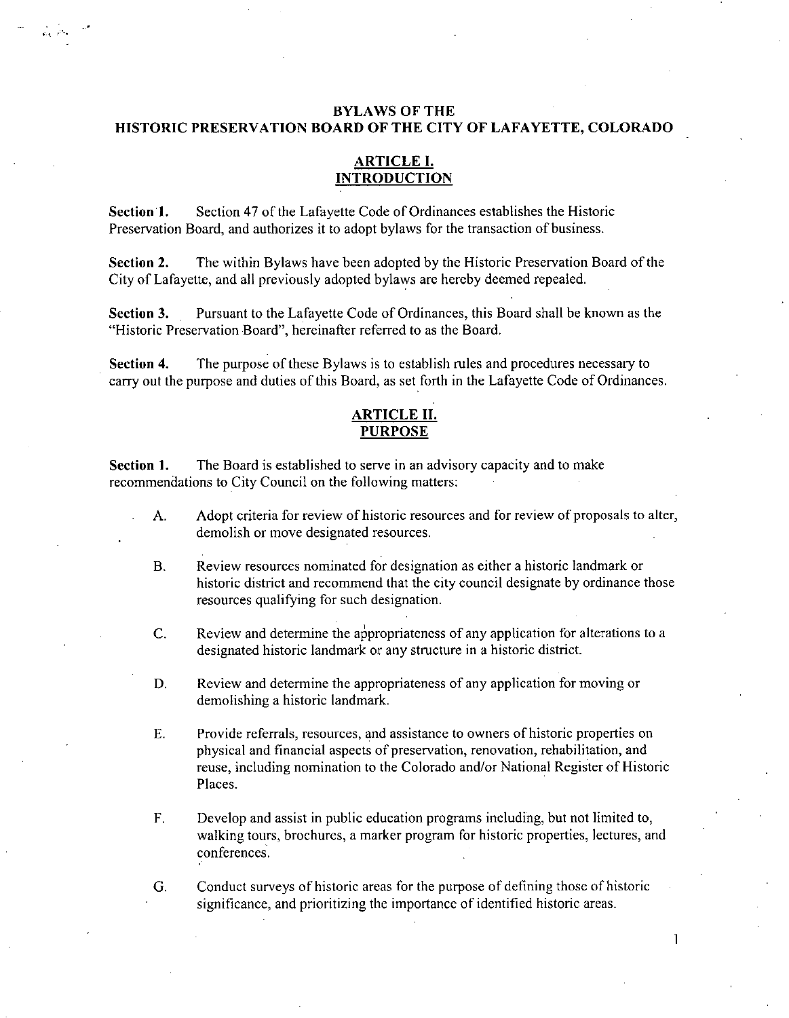# BYLAWS OF THE HISTORIC PRESERVATION BOARD OF THE CITY OF LAFAYETTE, COLORADO

# ARTICLE I. INTRODUCTION

Section 1. Section <sup>47</sup> of the Lafayette Code of Ordinances establishes the Historic Preservation Board, and authorizes it to adopt bylaws for the transaction of business.

Section 2. The within Bylaws have been adopted by the Historic Preservation Board of the City of Lafayette, and all previously adopted bylaws are hereby deemed repealed.

Section 3. Pursuant to the Lafayette Code of Ordinances, this Board shall be known as the Historic Preservation Board", hereinafter referred to as the Board.

Section 4. The purpose of these Bylaws is to establish rules and procedures necessary to carry out the purpose and duties of this Board, as set forth in the Lafayette Code of Ordinances.

# ARTICLE II. PURPOSE

Section 1. The Board is established to serve in an advisory capacity and to make recommendations to City Council on the following matters:

- A. Adopt criteria for review of historic resources and for review of proposals to alter, demolish or move designated resources.
- B. Review resources nominated for designation as either <sup>a</sup> historic landmark or historic district and recommend that the city council designate by ordinance those resources qualifying for such designation.
- C. Review and determine the appropriateness of any application for alterations to <sup>a</sup> designated historic landmark or any structure in <sup>a</sup> historic district.
- D. Review and determine the appropriateness of any application for moving or demolishing a historic landmark.
- E. Provide referrals, resources, and assistance to owners of historic properties on physical and financial aspects of preservation, renovation, rehabilitation, and reuse, including nomination to the Colorado and/or National Register of Historic Places.
- F. Develop and assist in public education programs including, but not limited to, walking tours, brochures, <sup>a</sup> marker program for historic properties, lectures, and conferences.

G. Conduct surveys of historic areas for the purpose of defining those of historic significance, and prioritizing the importance of identified historic areas.

I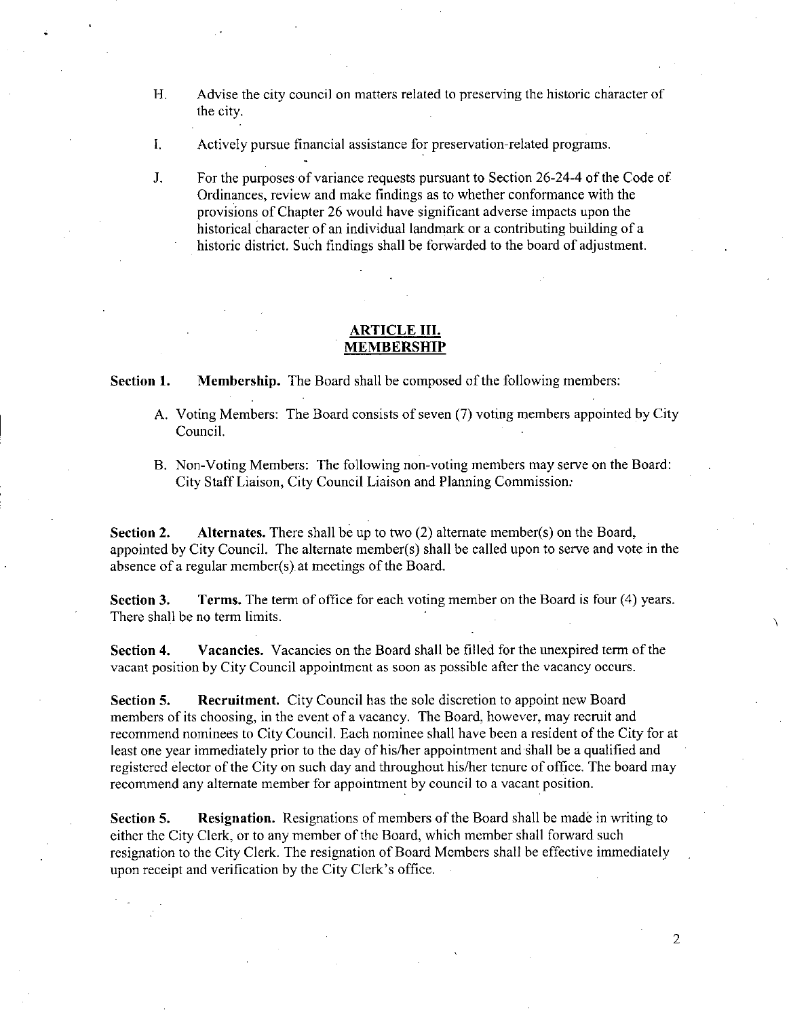- H. Advise the city council on matters related to preserving the historic character of the city.
- 1. Actively pursue financial assistance for preservation-related programs.
- J. For the purposes of variance requests pursuant to Section 26-24-4 of the Code of Ordinances, review and make findings as to whether conformance with the provisions of Chapter <sup>26</sup> would have significant adverse impacts upon the historical character of an individual landmark or <sup>a</sup> contributing building of <sup>a</sup> historic district. Such findings shall be forwarded to the board of adjustment.

### ARTICLE III. MEMBERSHIP

Section 1. Membership. The Board shall be composed of the following members:

- A. Voting Members: The Board consists of seven (7) voting members appointed by City Council.
- B. Non-Voting Members: The following non-voting members may serve on the Board: City Staff Liaison, City Council Liaison and Planning Commission:

Section 2. Alternates. There shall be up to two (2) alternate member(s) on the Board, **Section 2.** Alternates. There shall be up to two (2) alternate member(s) on the Board, appointed by City Council. The alternate member(s) shall be called upon to serve and vote in the absence of a requier member(s) at me absence of a regular member(s) at meetings of the Board. Alternates. There shall be up to two (2) at City Council. The alternate member(s) shall regular member(s) at meetings of the Board.

Section 3. Terms. The term of office for each voting member on the Board is four (4) years. There shall be no term limits.

Section 4. Vacancies. Vacancies on the Board shall be filled for the unexpired term of the vacant position by City Council appointment as soon as possible after the vacancy occurs.

Section 5. Recruitment. City Council has the sole discretion to appoint new Board members of its choosing, in the event of <sup>a</sup> vacancy. The Board, however, may recruit and recommend nominees to City Council. Each nominee shall have been <sup>a</sup> resident of the City for at least one year immediately prior to the day of his/her appointment and shall be <sup>a</sup> qualified and registered elector of the City on such day and throughout his/her tenure of office. The board may recommend any alternate member for appointment by council to <sup>a</sup> vacant position.

Section 5. Resignation. Resignations of members of the Board shall be made in writing to either the City Clerk, or to any member of the Board, which member shall forward such resignation to the City Clerk. The resignation of Board Members shall be effective immediately upon receipt and verification by the City Clerk's office.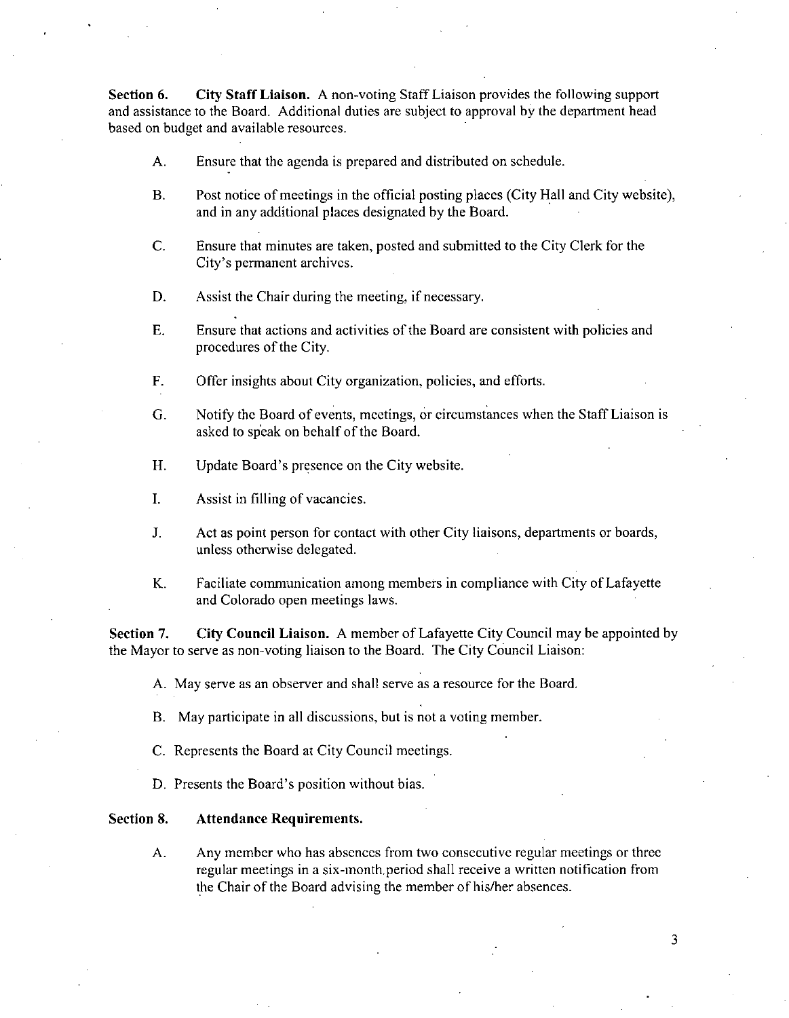Section 6. City Staff Liaison. A non-voting Staff Liaison provides the following support and assistance to the Board. Additional duties are subject to approval by the department head based on budget and available resources.

- A. Ensure that the agenda is prepared and distributed on schedule.
- B. Post notice of meetings in the official posting places (City Hall and City website), and in any additional places designated by the Board.
- C. Ensure that minutes are taken, posted and submitted to the City Clerk for the City's permanent archives.
- D. Assist the Chair during the meeting, if necessary.
- E. Ensure that actions and activities of the Board are consistent with policies and procedures of the City.
- F. Offer insights about City organization, policies, and efforts.
- G. Notify the Board of events, meetings, or circumstances when the Staff Liaison is asked to speak on behalf of the Board.
- H. Update Board's presence on the City website.
- 1. Assist in filling of vacancies.
- I. Act as point person for contact with other City liaisons, departments or boards, unless otherwise delegated.
- K. Faciliate communication among members in compliance with City of Lafayette and Colorado open meetings laws.

Section 7. City Council Liaison. A member of Lafayette City Council may be appointed by the Mayor to serve as non-voting liaison to the Board. The City Council Liaison:

A. May serve as an observer and shall serve as <sup>a</sup> resource for the Board.

B. May participate in all discussions, but is not <sup>a</sup> voting member.

- C. Represents the Board at City Council meetings.
- D. Presents the Board's position without bias.

### Section 8. Attendance Requirements.

A. Any member who has absences from two consecutive regular meetings or three regular meetings in <sup>a</sup> six-month. period shall receive <sup>a</sup> written notification from the Chair of the Board advising the member of his/her absences.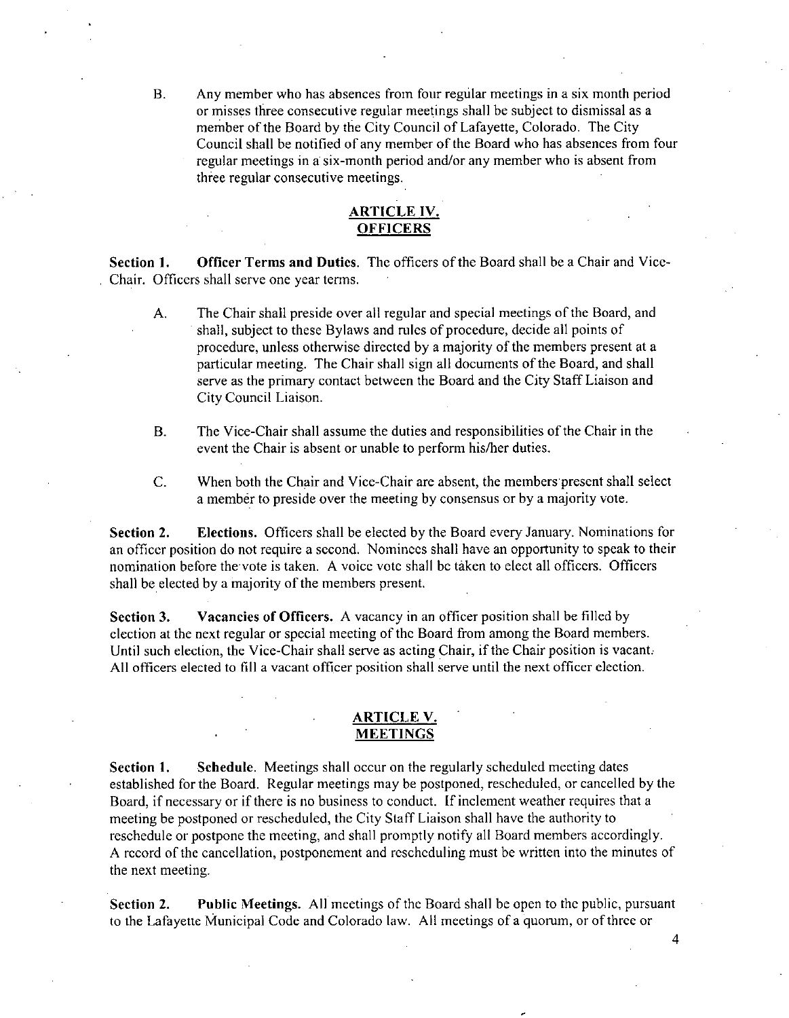B. Any member who has absences from four regular meetings in <sup>a</sup> six month period or misses three consecutive regular meetings shall be subject to dismissal as <sup>a</sup> member of the Board by the City Council of Lafayette, Colorado. The City Council shall be notified of any member of the Board who has absences from four regular meetings in <sup>a</sup> six-month period and/or any member who is absent from three regular consecutive meetings.

# ARTICLE IV. **OFFICERS**

Section 1. Officer Terms and Duties. The officers of the Board shall be a Chair and Vice-Chair. Officers shall serve one year terms.

- A. The Chair shall preside over all regular and special meetings of the Board, and shall, subject to these Bylaws and rules of procedure, decide all points of procedure, unless otherwise directed by <sup>a</sup> majority of the members present at <sup>a</sup> particular meeting. The Chair shall sign all documents of the Board, and shall serve as the primary contact between the Board and the City Staff Liaison and City Council Liaison.
- B. The Vice-Chair shall assume the duties and responsibilities of the Chair in the event the Chair is absent or unable to perform his/her duties.
- C. When both the Chair and Vice-Chair are absent, the members present shall select <sup>a</sup> member to preside over the meeting by consensus or by <sup>a</sup> majority vote.

Section 2. Elections. Officers shall be elected by the Board every January. Nominations for an officer position do not require <sup>a</sup> second. Nominees shall have an opportunity to speak to their nomination before the vote is taken. A voice vote shall be taken to elect all officers. Officers shall be elected by <sup>a</sup> majority of the members present.

Section 3. Vacancies of Officers. A vacancy in an officer position shall be filled by election at the next regular or special meeting of the Board from among the Board members. Until such election, the Vice-Chair shall serve as acting Chair, if the Chair position is vacant. All officers elected to fill <sup>a</sup> vacant officer position shall serve until the next officer election.

### ARTICLE V. MEETINGS

Section 1. Schedule. Meetings shall occur on the regularly scheduled meeting dates established for the Board. Regular meetings may be postponed, rescheduled, or cancelled by the Board, if necessary or if there is no business to conduct. If inclement weather requires that <sup>a</sup> meeting be postponed or rescheduled, the City Staff Liaison shall have the authority to reschedule or postpone the meeting, and shall promptly notify all Board members accordingly. A record of the cancellation, postponement and rescheduling must be written into the minutes of the next meeting.

Section 2. Public Meetings. All meetings of the Board shall be open to the public, pursuant to the Lafayette Municipal Code and Colorado law. All meetings of <sup>a</sup> quorum, or of three or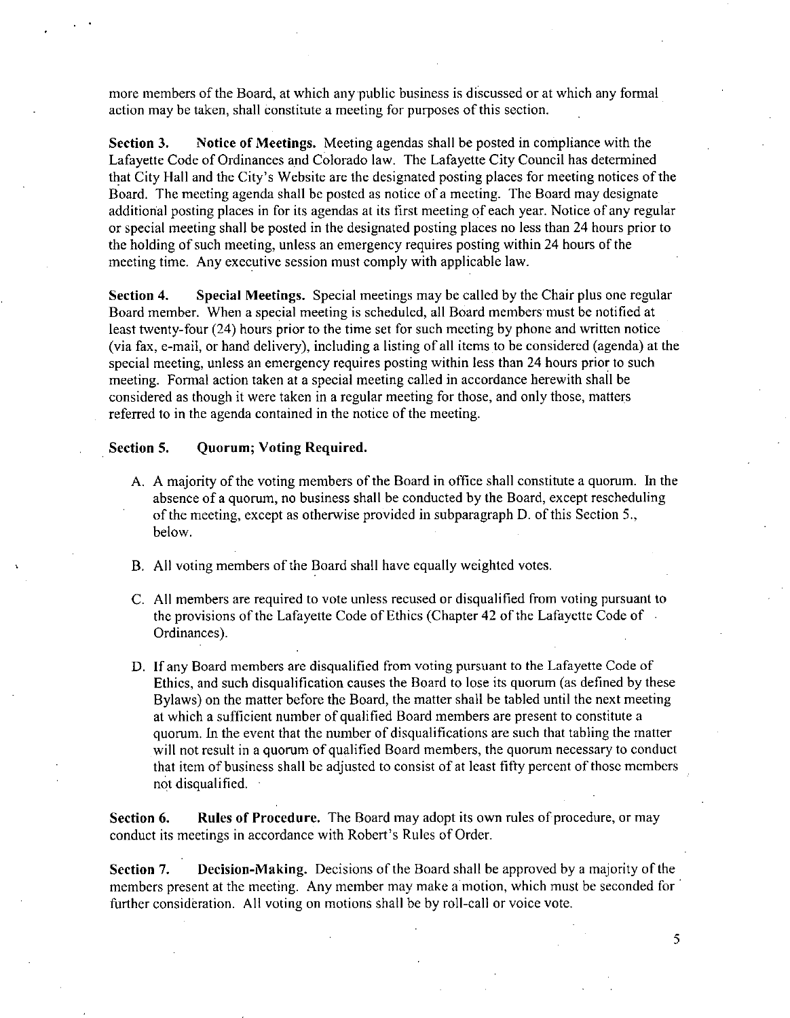more members of the Board, at which any public business is discussed or at which any formal action may be taken, shall constitute <sup>a</sup> meeting for purposes of this section.

Section 3. Notice of Meetings. Meeting agendas shall be posted in compliance with the Lafayette Code of Ordinances and Colorado law. The Lafayette City Council has determined Larayette Code of Ordinances and Colorado law. The Larayette City Council has determined<br>that City Hall and the City's Website are the designated posting places for meeting notices of the Board. The meeting agenda shall be posted as notice of <sup>a</sup> meeting. The Board may designate additional posting places in for its agendas at its first meeting of each year. Notice of any regular or special meeting shall be posted in the designated posting places no less than 24 hours prior to the holding of such meeting, unless an emergency requires posting within <sup>24</sup> hours of the meeting time. Any executive session must comply with applicable law.

Section 4. Special Meetings. Special meetings may be called by the Chair plus one regular Board member. When <sup>a</sup> special meeting is scheduled, all Board members must be notified at least twenty-four (24) hours prior to the time set for such meeting by phone and written notice least twenty-four (24) hours prior to the time set for such meeting by phone and written notice<br>(via fax, e-mail, or hand delivery), including a listing of all items to be considered (agenda) at the special meeting, unless an emergency requires posting within less than <sup>24</sup> hours prior to such meeting. Formal action taken at <sup>a</sup> special meeting called in accordance herewith shall be considered as though it were taken in <sup>a</sup> regular meeting for those, and only those, matters referred to in the agenda contained in the notice of the meeting.

#### Section 5. Quorum; Voting Required.

- A. A majority of the voting members of the Board in office shall constitute <sup>a</sup> quorum. In the absence of <sup>a</sup> quorum, no business shall be conducted by the Board, except rescheduling of the meeting, except as otherwise provided in subparagraph D. of this Section 5., below.
- B. All voting members of the Board shall have equally weighted votes.
- C. All members are required to vote unless recused or disqualified from voting pursuant to the provisions of the Lafayette Code of Ethics (Chapter <sup>42</sup> of the Lafayette Code of Ordinances).
- D. If any Board members are disqualified from voting pursuant to the Lafayette Code of Ethics, and such disqualification causes the Board to lose its quorum (as defined by these Bylaws) on the matter before the Board, the matter shall be tabled until the next meeting at which <sup>a</sup> sufficient number of qualified Board members are present to constitute <sup>a</sup> quorum. In the event that the number of disqualifications are such that tabling the matter will not result in a quorum of qualified Board members, the quorum necessary to conduct that item of business shall be adjusted to consist of at least fifty percent of those members not disqualified.

Section 6. Rules of Procedure. The Board may adopt its own rules of procedure, or may conduct its meetings in accordance with Robert's Rules of Order.

Section 7. Decision-Making. Decisions of the Board shall be approved by <sup>a</sup> majority of the members present at the meeting. Any member may make <sup>a</sup> motion, which must be seconded for further consideration. All voting on motions shall be by roll-call or voice vote.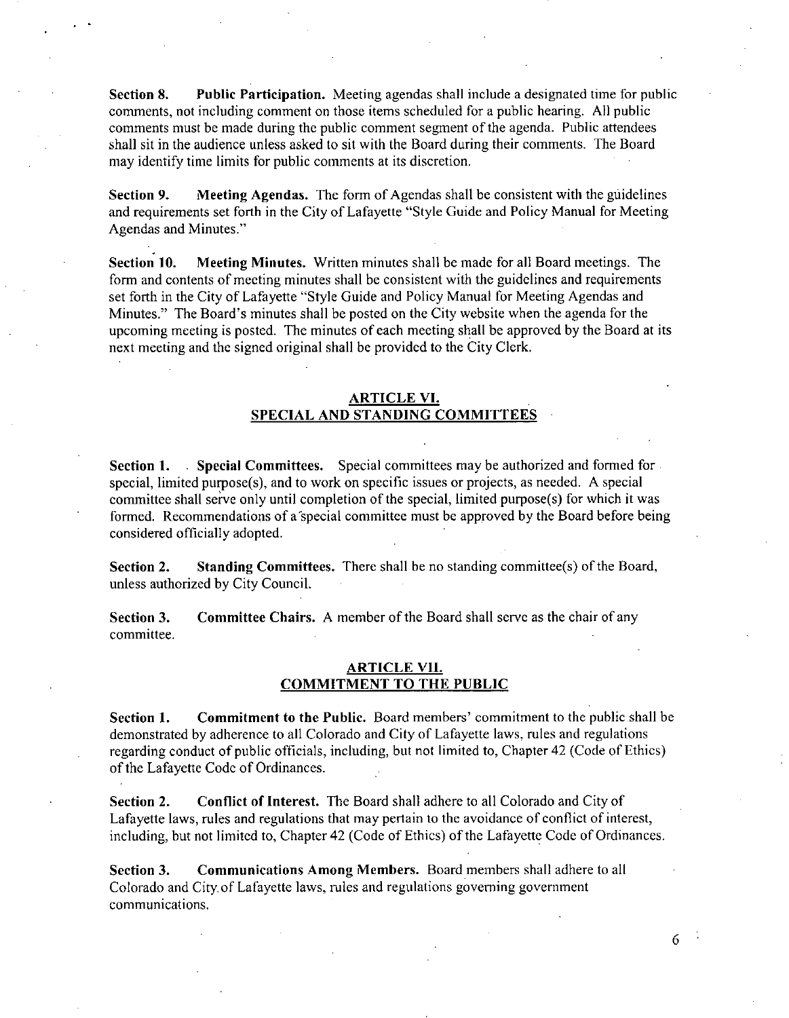Section 8. Public Participation. Meeting agendas shall include <sup>a</sup> designated time for public comments, not including comment on those items scheduled for <sup>a</sup> public hearing. All public comments must be made during the public comment segment of the agenda. Public attendees shall sit in the audience unless asked to sit with the Board during their comments. The Board may identify time limits for public comments at its discretion.

Section 9. Meeting Agendas. The form of Agendas shall be consistent with the guidelines and requirements set forth in the City of Lafayette "Style Guide and Policy Manual for Meeting Agendas and Minutes."

Section 10. Meeting Minutes. Written minutes shall be made for all Board meetings. The form and contents of meeting minutes shall be consistent with the guidelines and requirements set forth in the City of Lafayette "Style Guide and Policy Manual for Meeting Agendas and Minutes." The Board's minutes shall be posted on the City website when the agenda for the upcoming meeting is posted. The minutes of each meeting shall be approved by the Board at its next meeting and the signed original shall be provided to the City Clerk.

# ARTICLE VI. SPECIAL AND STANDING COMMITTEES

Section 1. Special Committees. Special committees may be authorized and formed for special, limited purpose(s), and to work on specific issues or projects, as needed. A special committee shall serve only until completion of the special, limited purpose(s) for which it was formed. Recommendations of a special committee must be approved by the Board before being considered officially adopted.

Section 2. Standing Committees. There shall be no standing committee(s) of the Board, unless authorized by City Council.

Section 3. Committee Chairs. A member of the Board shall serve as the chair of any committee.

### ARTICLE VII. COMMITMENT TO THE PUBLIC

Section 1. Commitment to the Public. Board members' commitment to the public shall be demonstrated by adherence to all Colorado and City of Lafayette laws, rules and regulations regarding conduct of public officials, including, but not limited to, Chapter 42 (Code of Ethics) of the Lafayette Code of Ordinances.

Section 2. Conflict of Interest. The Board shall adhere to all Colorado and City of Lafayette laws, rules and regulations that may pertain to the avoidance of conflict of interest, including, but not limited to, Chapter 42 (Code of Ethics) of the Lafayette Code of Ordinances.

Section 3. Communications Among Members. Board members shall adhere to all Colorado and City. of Lafayette laws, rules and regulations governing government communications.